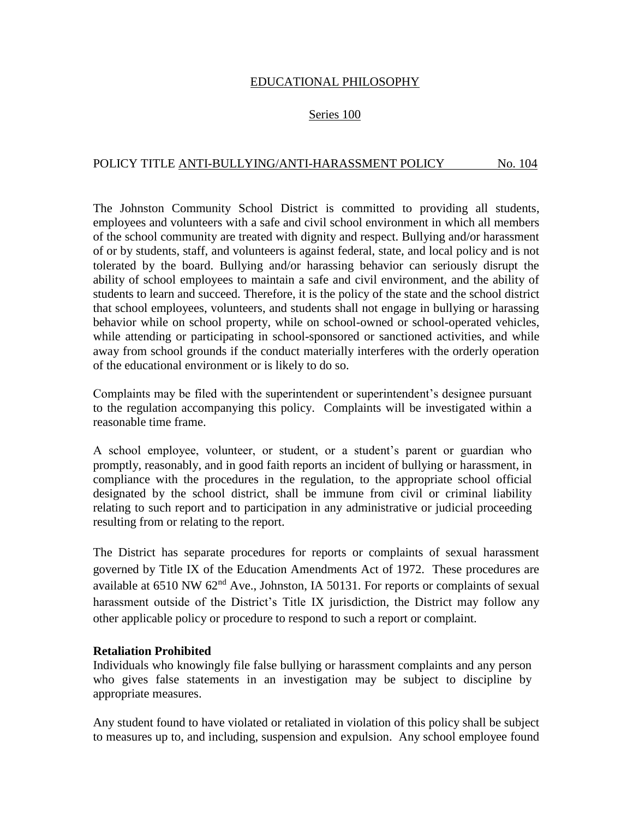## EDUCATIONAL PHILOSOPHY

## Series 100

## POLICY TITLE ANTI-BULLYING/ANTI-HARASSMENT POLICY No. 104

The Johnston Community School District is committed to providing all students, employees and volunteers with a safe and civil school environment in which all members of the school community are treated with dignity and respect. Bullying and/or harassment of or by students, staff, and volunteers is against federal, state, and local policy and is not tolerated by the board. Bullying and/or harassing behavior can seriously disrupt the ability of school employees to maintain a safe and civil environment, and the ability of students to learn and succeed. Therefore, it is the policy of the state and the school district that school employees, volunteers, and students shall not engage in bullying or harassing behavior while on school property, while on school-owned or school-operated vehicles, while attending or participating in school-sponsored or sanctioned activities, and while away from school grounds if the conduct materially interferes with the orderly operation of the educational environment or is likely to do so.

Complaints may be filed with the superintendent or superintendent's designee pursuant to the regulation accompanying this policy. Complaints will be investigated within a reasonable time frame.

A school employee, volunteer, or student, or a student's parent or guardian who promptly, reasonably, and in good faith reports an incident of bullying or harassment, in compliance with the procedures in the regulation, to the appropriate school official designated by the school district, shall be immune from civil or criminal liability relating to such report and to participation in any administrative or judicial proceeding resulting from or relating to the report.

The District has separate procedures for reports or complaints of sexual harassment governed by Title IX of the Education Amendments Act of 1972. These procedures are available at 6510 NW 62<sup>nd</sup> Ave., Johnston, IA 50131. For reports or complaints of sexual harassment outside of the District's Title IX jurisdiction, the District may follow any other applicable policy or procedure to respond to such a report or complaint.

#### **Retaliation Prohibited**

Individuals who knowingly file false bullying or harassment complaints and any person who gives false statements in an investigation may be subject to discipline by appropriate measures.

Any student found to have violated or retaliated in violation of this policy shall be subject to measures up to, and including, suspension and expulsion. Any school employee found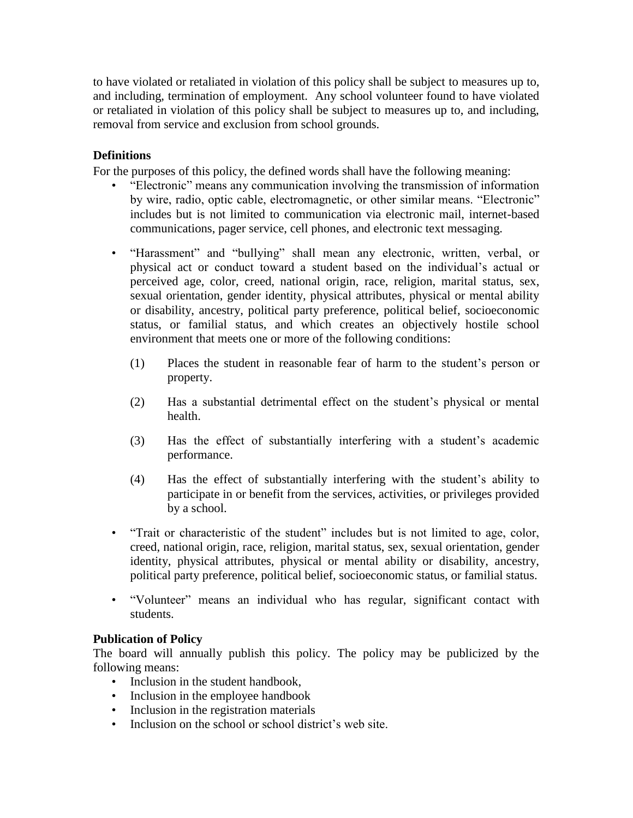to have violated or retaliated in violation of this policy shall be subject to measures up to, and including, termination of employment. Any school volunteer found to have violated or retaliated in violation of this policy shall be subject to measures up to, and including, removal from service and exclusion from school grounds.

# **Definitions**

For the purposes of this policy, the defined words shall have the following meaning:

- "Electronic" means any communication involving the transmission of information by wire, radio, optic cable, electromagnetic, or other similar means. "Electronic" includes but is not limited to communication via electronic mail, internet-based communications, pager service, cell phones, and electronic text messaging.
- "Harassment" and "bullying" shall mean any electronic, written, verbal, or physical act or conduct toward a student based on the individual's actual or perceived age, color, creed, national origin, race, religion, marital status, sex, sexual orientation, gender identity, physical attributes, physical or mental ability or disability, ancestry, political party preference, political belief, socioeconomic status, or familial status, and which creates an objectively hostile school environment that meets one or more of the following conditions:
	- (1) Places the student in reasonable fear of harm to the student's person or property.
	- (2) Has a substantial detrimental effect on the student's physical or mental health.
	- (3) Has the effect of substantially interfering with a student's academic performance.
	- (4) Has the effect of substantially interfering with the student's ability to participate in or benefit from the services, activities, or privileges provided by a school.
- "Trait or characteristic of the student" includes but is not limited to age, color, creed, national origin, race, religion, marital status, sex, sexual orientation, gender identity, physical attributes, physical or mental ability or disability, ancestry, political party preference, political belief, socioeconomic status, or familial status.
- "Volunteer" means an individual who has regular, significant contact with students.

## **Publication of Policy**

The board will annually publish this policy. The policy may be publicized by the following means:

- Inclusion in the student handbook.
- Inclusion in the employee handbook
- Inclusion in the registration materials
- Inclusion on the school or school district's web site.